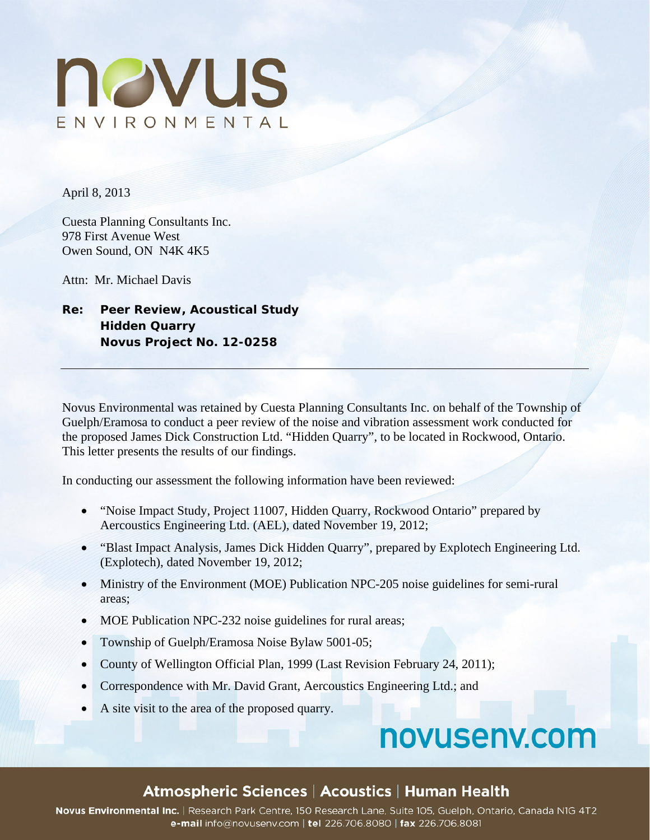

April 8, 2013

Cuesta Planning Consultants Inc. 978 First Avenue West Owen Sound, ON N4K 4K5

Attn: Mr. Michael Davis

# **Re: Peer Review, Acoustical Study Hidden Quarry Novus Project No. 12-0258**

Novus Environmental was retained by Cuesta Planning Consultants Inc. on behalf of the Township of Guelph/Eramosa to conduct a peer review of the noise and vibration assessment work conducted for the proposed James Dick Construction Ltd. "Hidden Quarry", to be located in Rockwood, Ontario. This letter presents the results of our findings.

In conducting our assessment the following information have been reviewed:

- "Noise Impact Study, Project 11007, Hidden Quarry, Rockwood Ontario" prepared by Aercoustics Engineering Ltd. (AEL), dated November 19, 2012;
- "Blast Impact Analysis, James Dick Hidden Quarry", prepared by Explotech Engineering Ltd. (Explotech), dated November 19, 2012;
- Ministry of the Environment (MOE) Publication NPC-205 noise guidelines for semi-rural areas;
- MOE Publication NPC-232 noise guidelines for rural areas;
- Township of Guelph/Eramosa Noise Bylaw 5001-05;
- County of Wellington Official Plan, 1999 (Last Revision February 24, 2011);
- Correspondence with Mr. David Grant, Aercoustics Engineering Ltd.; and
- A site visit to the area of the proposed quarry.

# novusenv.com

# Atmospheric Sciences | Acoustics | Human Health

Novus Environmental Inc. | Research Park Centre, 150 Research Lane, Suite 105, Guelph, Ontario, Canada N1G 4T2 e-mail info@novusenv.com | tel 226.706.8080 | fax 226.706.8081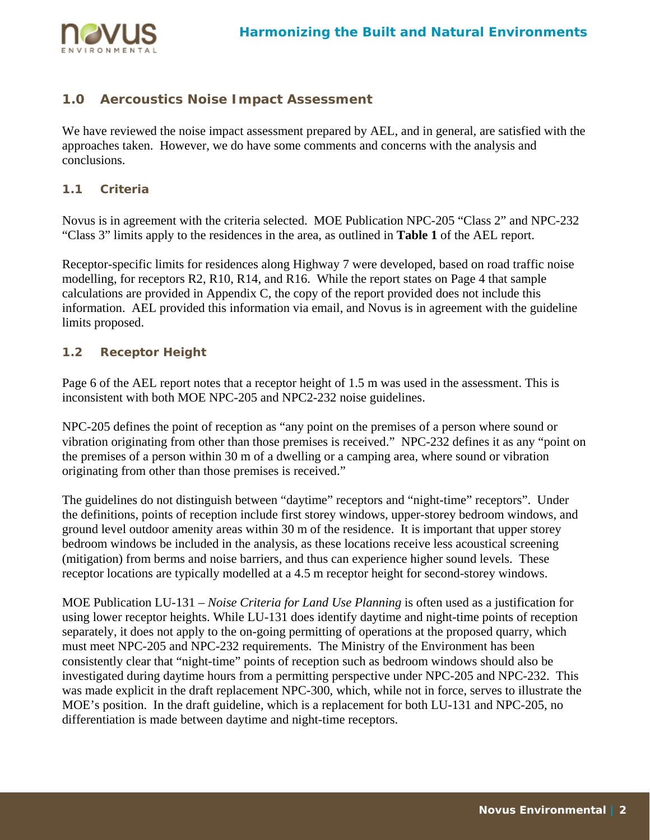

# **1.0 Aercoustics Noise Impact Assessment**

We have reviewed the noise impact assessment prepared by AEL, and in general, are satisfied with the approaches taken. However, we do have some comments and concerns with the analysis and conclusions.

### **1.1 Criteria**

Novus is in agreement with the criteria selected. MOE Publication NPC-205 "Class 2" and NPC-232 "Class 3" limits apply to the residences in the area, as outlined in **Table 1** of the AEL report.

Receptor-specific limits for residences along Highway 7 were developed, based on road traffic noise modelling, for receptors R2, R10, R14, and R16. While the report states on Page 4 that sample calculations are provided in Appendix C, the copy of the report provided does not include this information. AEL provided this information via email, and Novus is in agreement with the guideline limits proposed.

## **1.2 Receptor Height**

Page 6 of the AEL report notes that a receptor height of 1.5 m was used in the assessment. This is inconsistent with both MOE NPC-205 and NPC2-232 noise guidelines.

NPC-205 defines the point of reception as "any point on the premises of a person where sound or vibration originating from other than those premises is received." NPC-232 defines it as any "point on the premises of a person within 30 m of a dwelling or a camping area, where sound or vibration originating from other than those premises is received."

The guidelines do not distinguish between "daytime" receptors and "night-time" receptors". Under the definitions, points of reception include first storey windows, upper-storey bedroom windows, and ground level outdoor amenity areas within 30 m of the residence. It is important that upper storey bedroom windows be included in the analysis, as these locations receive less acoustical screening (mitigation) from berms and noise barriers, and thus can experience higher sound levels. These receptor locations are typically modelled at a 4.5 m receptor height for second-storey windows.

MOE Publication LU-131 – *Noise Criteria for Land Use Planning* is often used as a justification for using lower receptor heights. While LU-131 does identify daytime and night-time points of reception separately, it does not apply to the on-going permitting of operations at the proposed quarry, which must meet NPC-205 and NPC-232 requirements. The Ministry of the Environment has been consistently clear that "night-time" points of reception such as bedroom windows should also be investigated during daytime hours from a permitting perspective under NPC-205 and NPC-232. This was made explicit in the draft replacement NPC-300, which, while not in force, serves to illustrate the MOE's position. In the draft guideline, which is a replacement for both LU-131 and NPC-205, no differentiation is made between daytime and night-time receptors.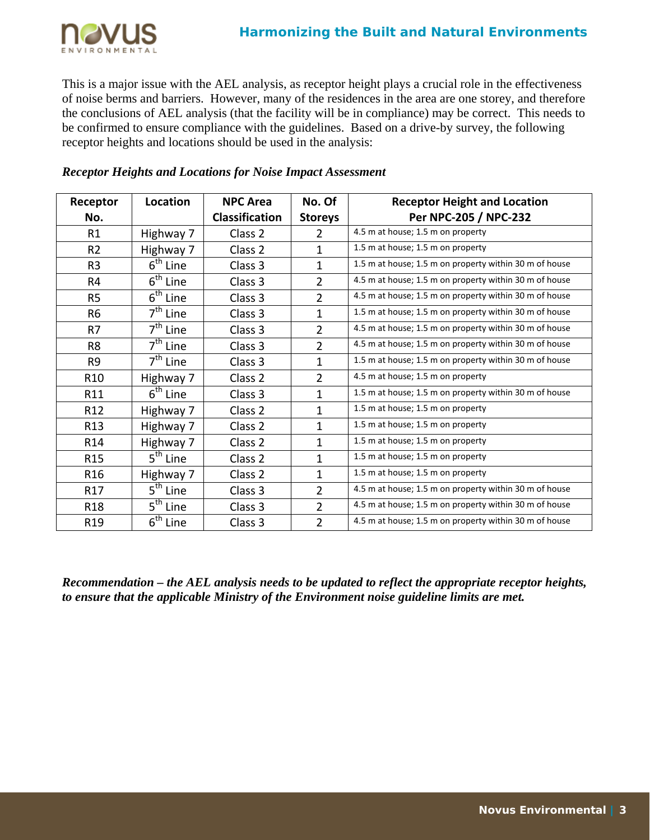

This is a major issue with the AEL analysis, as receptor height plays a crucial role in the effectiveness of noise berms and barriers. However, many of the residences in the area are one storey, and therefore the conclusions of AEL analysis (that the facility will be in compliance) may be correct. This needs to be confirmed to ensure compliance with the guidelines. Based on a drive-by survey, the following receptor heights and locations should be used in the analysis:

| Receptor<br>No. | Location                        | <b>NPC Area</b><br><b>Classification</b> | No. Of<br><b>Storeys</b> | <b>Receptor Height and Location</b><br>Per NPC-205 / NPC-232 |
|-----------------|---------------------------------|------------------------------------------|--------------------------|--------------------------------------------------------------|
| R1              | Highway 7                       | Class 2                                  | 2                        | 4.5 m at house; 1.5 m on property                            |
| R <sub>2</sub>  | Highway 7                       | Class <sub>2</sub>                       | $\mathbf{1}$             | 1.5 m at house; 1.5 m on property                            |
| R <sub>3</sub>  | $6th$ Line                      | Class 3                                  | $\mathbf{1}$             | 1.5 m at house; 1.5 m on property within 30 m of house       |
| R <sub>4</sub>  | $6th$ Line                      | Class 3                                  | $\overline{2}$           | 4.5 m at house; 1.5 m on property within 30 m of house       |
| R <sub>5</sub>  | $6th$ Line                      | Class 3                                  | $\overline{2}$           | 4.5 m at house; 1.5 m on property within 30 m of house       |
| R <sub>6</sub>  | $7th$ Line                      | Class 3                                  | $\mathbf{1}$             | 1.5 m at house; 1.5 m on property within 30 m of house       |
| R7              | $7th$ Line                      | Class 3                                  | $\overline{2}$           | 4.5 m at house; 1.5 m on property within 30 m of house       |
| R <sub>8</sub>  | $7th$ Line                      | Class 3                                  | $\overline{2}$           | 4.5 m at house; 1.5 m on property within 30 m of house       |
| R <sub>9</sub>  | $7th$ Line                      | Class 3                                  | $\mathbf{1}$             | 1.5 m at house; 1.5 m on property within 30 m of house       |
| R <sub>10</sub> | Highway 7                       | Class <sub>2</sub>                       | $\overline{2}$           | 4.5 m at house; 1.5 m on property                            |
| R11             | $6th$ Line                      | Class 3                                  | $\mathbf{1}$             | 1.5 m at house; 1.5 m on property within 30 m of house       |
| R <sub>12</sub> | Highway 7                       | Class 2                                  | $\mathbf{1}$             | 1.5 m at house; 1.5 m on property                            |
| R <sub>13</sub> | Highway 7                       | Class 2                                  | $\mathbf{1}$             | 1.5 m at house; 1.5 m on property                            |
| R14             | Highway 7                       | Class 2                                  | $\mathbf{1}$             | 1.5 m at house; 1.5 m on property                            |
| R <sub>15</sub> | $\overline{5}^{\text{th}}$ Line | Class <sub>2</sub>                       | $\mathbf{1}$             | 1.5 m at house; 1.5 m on property                            |
| R <sub>16</sub> | Highway 7                       | Class <sub>2</sub>                       | $\mathbf{1}$             | 1.5 m at house; 1.5 m on property                            |
| R17             | $5th$ Line                      | Class 3                                  | $\overline{2}$           | 4.5 m at house; 1.5 m on property within 30 m of house       |
| R <sub>18</sub> | $5th$ Line                      | Class 3                                  | $\overline{2}$           | 4.5 m at house; 1.5 m on property within 30 m of house       |
| R <sub>19</sub> | $6th$ Line                      | Class 3                                  | $\overline{2}$           | 4.5 m at house; 1.5 m on property within 30 m of house       |

## *Receptor Heights and Locations for Noise Impact Assessment*

*Recommendation – the AEL analysis needs to be updated to reflect the appropriate receptor heights, to ensure that the applicable Ministry of the Environment noise guideline limits are met.*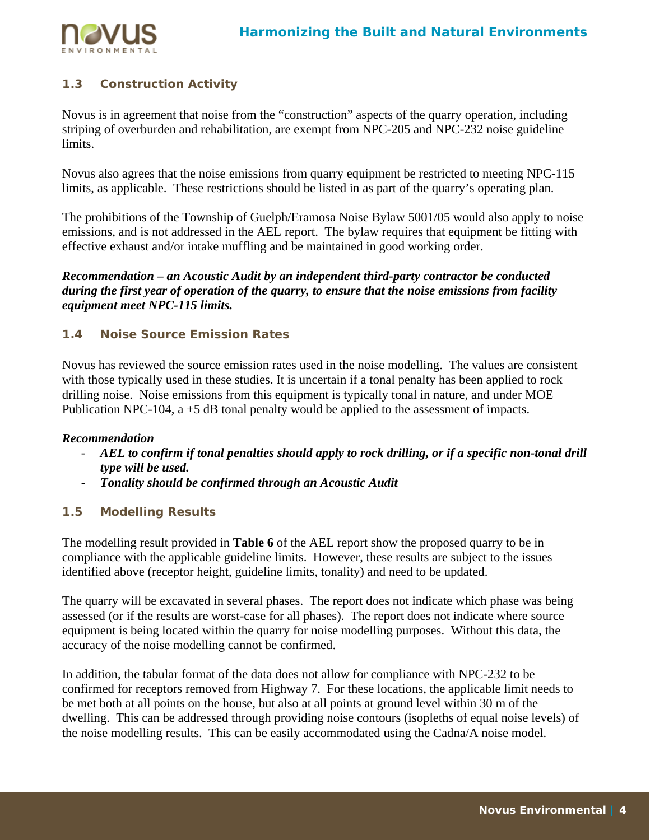

# **1.3 Construction Activity**

Novus is in agreement that noise from the "construction" aspects of the quarry operation, including striping of overburden and rehabilitation, are exempt from NPC-205 and NPC-232 noise guideline limits.

Novus also agrees that the noise emissions from quarry equipment be restricted to meeting NPC-115 limits, as applicable. These restrictions should be listed in as part of the quarry's operating plan.

The prohibitions of the Township of Guelph/Eramosa Noise Bylaw 5001/05 would also apply to noise emissions, and is not addressed in the AEL report. The bylaw requires that equipment be fitting with effective exhaust and/or intake muffling and be maintained in good working order.

*Recommendation – an Acoustic Audit by an independent third-party contractor be conducted during the first year of operation of the quarry, to ensure that the noise emissions from facility equipment meet NPC-115 limits.* 

## **1.4 Noise Source Emission Rates**

Novus has reviewed the source emission rates used in the noise modelling. The values are consistent with those typically used in these studies. It is uncertain if a tonal penalty has been applied to rock drilling noise. Noise emissions from this equipment is typically tonal in nature, and under MOE Publication NPC-104,  $a + 5$  dB tonal penalty would be applied to the assessment of impacts.

#### *Recommendation*

- *AEL to confirm if tonal penalties should apply to rock drilling, or if a specific non-tonal drill type will be used.*
- *Tonality should be confirmed through an Acoustic Audit*

## **1.5 Modelling Results**

The modelling result provided in **Table 6** of the AEL report show the proposed quarry to be in compliance with the applicable guideline limits. However, these results are subject to the issues identified above (receptor height, guideline limits, tonality) and need to be updated.

The quarry will be excavated in several phases. The report does not indicate which phase was being assessed (or if the results are worst-case for all phases). The report does not indicate where source equipment is being located within the quarry for noise modelling purposes. Without this data, the accuracy of the noise modelling cannot be confirmed.

In addition, the tabular format of the data does not allow for compliance with NPC-232 to be confirmed for receptors removed from Highway 7. For these locations, the applicable limit needs to be met both at all points on the house, but also at all points at ground level within 30 m of the dwelling. This can be addressed through providing noise contours (isopleths of equal noise levels) of the noise modelling results. This can be easily accommodated using the Cadna/A noise model.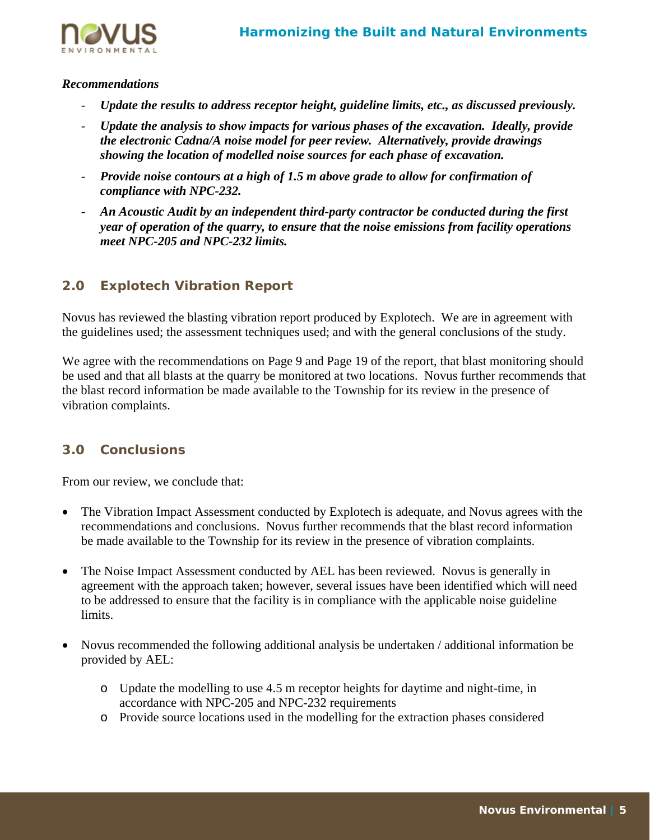

## *Recommendations*

- Update the results to address receptor height, guideline limits, etc., as discussed previously.
- *Update the analysis to show impacts for various phases of the excavation. Ideally, provide the electronic Cadna/A noise model for peer review. Alternatively, provide drawings showing the location of modelled noise sources for each phase of excavation.*
- *Provide noise contours at a high of 1.5 m above grade to allow for confirmation of compliance with NPC-232.*
- *An Acoustic Audit by an independent third-party contractor be conducted during the first year of operation of the quarry, to ensure that the noise emissions from facility operations meet NPC-205 and NPC-232 limits.*

# **2.0 Explotech Vibration Report**

Novus has reviewed the blasting vibration report produced by Explotech. We are in agreement with the guidelines used; the assessment techniques used; and with the general conclusions of the study.

We agree with the recommendations on Page 9 and Page 19 of the report, that blast monitoring should be used and that all blasts at the quarry be monitored at two locations. Novus further recommends that the blast record information be made available to the Township for its review in the presence of vibration complaints.

# **3.0 Conclusions**

From our review, we conclude that:

- The Vibration Impact Assessment conducted by Explotech is adequate, and Novus agrees with the recommendations and conclusions. Novus further recommends that the blast record information be made available to the Township for its review in the presence of vibration complaints.
- The Noise Impact Assessment conducted by AEL has been reviewed. Novus is generally in agreement with the approach taken; however, several issues have been identified which will need to be addressed to ensure that the facility is in compliance with the applicable noise guideline limits.
- Novus recommended the following additional analysis be undertaken / additional information be provided by AEL:
	- o Update the modelling to use 4.5 m receptor heights for daytime and night-time, in accordance with NPC-205 and NPC-232 requirements
	- o Provide source locations used in the modelling for the extraction phases considered